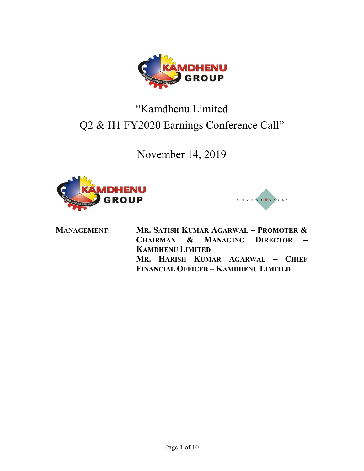

# "Kamdhenu Limited Q2 & H1 FY2020 Earnings Conference Call"

November 14, 2019





MANAGEMENT: MR. SATISH KUMAR AGARWAL – PROMOTER & CHAIRMAN & MANAGING DIRECTOR – KAMDHENU LIMITED MR. HARISH KUMAR AGARWAL – CHIEF FINANCIAL OFFICER – KAMDHENU LIMITED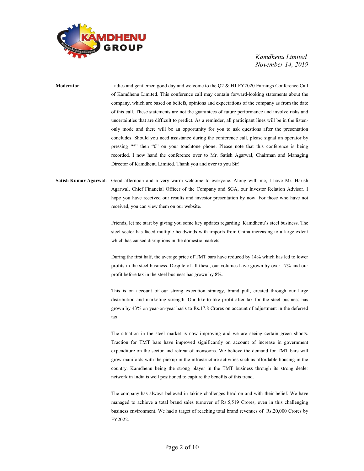

Moderator: Ladies and gentlemen good day and welcome to the Q2 & H1 FY2020 Earnings Conference Call of Kamdhenu Limited. This conference call may contain forward-looking statements about the company, which are based on beliefs, opinions and expectations of the company as from the date of this call. These statements are not the guarantees of future performance and involve risks and uncertainties that are difficult to predict. As a reminder, all participant lines will be in the listenonly mode and there will be an opportunity for you to ask questions after the presentation concludes. Should you need assistance during the conference call, please signal an operator by pressing "\*" then "0" on your touchtone phone. Please note that this conference is being recorded. I now hand the conference over to Mr. Satish Agarwal, Chairman and Managing Director of Kamdhenu Limited. Thank you and over to you Sir!

Satish Kumar Agarwal: Good afternoon and a very warm welcome to everyone. Along with me, I have Mr. Harish Agarwal, Chief Financial Officer of the Company and SGA, our Investor Relation Advisor. I hope you have received our results and investor presentation by now. For those who have not received, you can view them on our website.

> Friends, let me start by giving you some key updates regarding Kamdhenu's steel business. The steel sector has faced multiple headwinds with imports from China increasing to a large extent which has caused disruptions in the domestic markets.

> During the first half, the average price of TMT bars have reduced by 14% which has led to lower profits in the steel business. Despite of all these, our volumes have grown by over 17% and our profit before tax in the steel business has grown by 8%.

> This is on account of our strong execution strategy, brand pull, created through our large distribution and marketing strength. Our like-to-like profit after tax for the steel business has grown by 43% on year-on-year basis to Rs.17.8 Crores on account of adjustment in the deferred tax.

> The situation in the steel market is now improving and we are seeing certain green shoots. Traction for TMT bars have improved significantly on account of increase in government expenditure on the sector and retreat of monsoons. We believe the demand for TMT bars will grow manifolds with the pickup in the infrastructure activities such as affordable housing in the country. Kamdhenu being the strong player in the TMT business through its strong dealer network in India is well positioned to capture the benefits of this trend.

> The company has always believed in taking challenges head on and with their belief. We have managed to achieve a total brand sales turnover of Rs.5,519 Crores, even in this challenging business environment. We had a target of reaching total brand revenues of Rs.20,000 Crores by FY2022.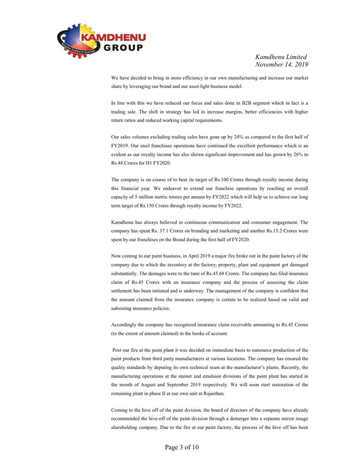

 We have decided to bring in more efficiency in our own manufacturing and increase our market share by leveraging our brand and our asset light business model.

 In line with this we have reduced our focus and sales done in B2B segment which in fact is a trading sale. The shift in strategy has led in increase margins, better efficiencies with higher return ratios and reduced working capital requirements.

 Our sales volumes excluding trading sales have gone up by 24% as compared to the first half of FY2019. Our steel franchisee operations have continued the excellent performance which is an evident as our royalty income has also shown significant improvement and has grown by 26% to Rs.48 Crores for H1 FY2020.

 The company is on course of to beat its target of Rs.100 Crores through royalty income during this financial year. We endeavor to extend our franchise operations by reaching an overall capacity of 5 million metric tonnes per annum by FY2022 which will help us to achieve our long term target of Rs.150 Crores through royalty income by FY2022.

 Kamdhenu has always believed in continuous communication and consumer engagement. The company has spent Rs. 37.1 Crores on branding and marketing and another Rs.15.2 Crores were spent by our franchises on the Brand during the first half of FY2020.

 Now coming to our paint business, in April 2019 a major fire broke out in the paint factory of the company due to which the inventory at the factory, property, plant and equipment got damaged substantially. The damages were to the tune of Rs.45.68 Crores. The company has filed insurance claim of Rs.45 Crores with an insurance company and the process of assessing the claim settlement has been initiated and is underway. The management of the company is confident that the amount claimed from the insurance company is certain to be realized based on valid and subsisting insurance policies.

 Accordingly the company has recognized insurance claim receivable amounting to Rs.45 Crores (to the extent of amount claimed) in the books of account.

 Post our fire at the paint plant it was decided on immediate basis to outsource production of the paint products from third party manufacturers at various locations. The company has ensured the quality standards by deputing its own technical team at the manufacturer's plants. Recently, the manufacturing operations at the stainer and emulsion divisions of the paint plant has started in the month of August and September 2019 respectively. We will soon start restoration of the remaining plant in phase II at our own unit at Rajasthan.

 Coming to the hive off of the paint division, the board of directors of the company have already recommended the hive-off of the paint division through a demerger into a separate mirror image shareholding company. Due to the fire at our paint factory, the process of the hive off has been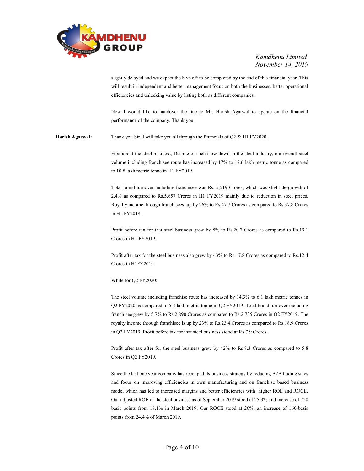

slightly delayed and we expect the hive off to be completed by the end of this financial year. This will result in independent and better management focus on both the businesses, better operational efficiencies and unlocking value by listing both as different companies.

 Now I would like to handover the line to Mr. Harish Agarwal to update on the financial performance of the company. Thank you.

Harish Agarwal: Thank you Sir. I will take you all through the financials of Q2 & H1 FY2020.

 First about the steel business, Despite of such slow down in the steel industry, our overall steel volume including franchisee route has increased by 17% to 12.6 lakh metric tonne as compared to 10.8 lakh metric tonne in H1 FY2019.

 Total brand turnover including franchisee was Rs. 5,519 Crores, which was slight de-growth of 2.4% as compared to Rs.5,657 Crores in H1 FY2019 mainly due to reduction in steel prices. Royalty income through franchisees up by 26% to Rs.47.7 Crores as compared to Rs.37.8 Crores in H1 FY2019.

 Profit before tax for that steel business grew by 8% to Rs.20.7 Crores as compared to Rs.19.1 Crores in H1 FY2019.

 Profit after tax for the steel business also grew by 43% to Rs.17.8 Crores as compared to Rs.12.4 Crores in H1FY2019.

While for Q2 FY2020:

The steel volume including franchise route has increased by 14.3% to 6.1 lakh metric tonnes in Q2 FY2020 as compared to 5.3 lakh metric tonne in Q2 FY2019. Total brand turnover including franchisee grew by 5.7% to Rs.2,890 Crores as compared to Rs.2,735 Crores in Q2 FY2019. The royalty income through franchisee is up by 23% to Rs.23.4 Crores as compared to Rs.18.9 Crores in Q2 FY2019. Profit before tax for that steel business stood at Rs.7.9 Crores.

 Profit after tax after for the steel business grew by 42% to Rs.8.3 Crores as compared to 5.8 Crores in Q2 FY2019.

 Since the last one year company has recouped its business strategy by reducing B2B trading sales and focus on improving efficiencies in own manufacturing and on franchise based business model which has led to increased margins and better efficiencies with higher ROE and ROCE. Our adjusted ROE of the steel business as of September 2019 stood at 25.3% and increase of 720 basis points from 18.1% in March 2019. Our ROCE stood at 26%, an increase of 160-basis points from 24.4% of March 2019.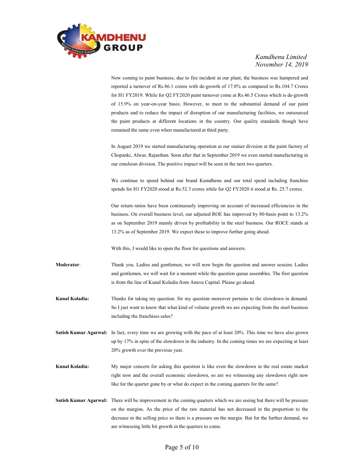

 Now coming to paint business, due to fire incident at our plant, the business was hampered and reported a turnover of Rs.86.1 crores with de-growth of 17.8% as compared to Rs.104.7 Crores for H1 FY2019. While for Q2 FY2020 paint turnover come at Rs.46.5 Crores which is de-growth of 15.9% on year-on-year basis; However, to meet to the substantial demand of our paint products and to reduce the impact of disruption of our manufacturing facilities, we outsourced the paint products at different locations in the country. Our quality standards though have remained the same even when manufactured at third party.

 In August 2019 we started manufacturing operation at our stainer division at the paint factory of Chopanki, Alwar, Rajasthan. Soon after that in September 2019 we even started manufacturing in our emulsion division. The positive impact will be seen in the next two quarters.

 We continue to spend behind our brand Kamdhenu and our total spend including franchise spends for H1 FY2020 stood at Rs.52.3 crores while for Q2 FY2020 it stood at Rs. 25.7 crores.

 Our return ratios have been continuously improving on account of increased efficiencies in the business. On overall business level, our adjusted ROE has improved by 80-basis point to 13.2% as on September 2019 mainly driven by profitability in the steel business. Our ROCE stands at 13.2% as of September 2019. We expect these to improve further going ahead.

With this, I would like to open the floor for questions and answers.

Moderator: Thank you. Ladies and gentlemen, we will now begin the question and answer session. Ladies and gentlemen, we will wait for a moment while the question queue assembles. The first question is from the line of Kunal Koladia from Anuva Capital. Please go ahead.

Kunal Koladia: Thanks for taking my question. Sir my question moreover pertains to the slowdown in demand. So I just want to know that what kind of volume growth we are expecting from the steel business including the franchises sales?

Satish Kumar Agarwal: In fact, every time we are growing with the pace of at least 20%. This time we have also grown up by 17% in spite of the slowdown in the industry. In the coming times we are expecting at least 20% growth over the previous year.

- Kunal Koladia: My major concern for asking this question is like even the slowdown in the real estate market right now and the overall economic slowdown, so are we witnessing any slowdown right now like for the quarter gone by or what do expect in the coming quarters for the same?
- Satish Kumar Agarwal: There will be improvement in the coming quarters which we are seeing but there will be pressure on the margins. As the price of the raw material has not decreased in the proportion to the decrease in the selling price so there is a pressure on the margin. But for the further demand, we are witnessing little bit growth in the quarters to come.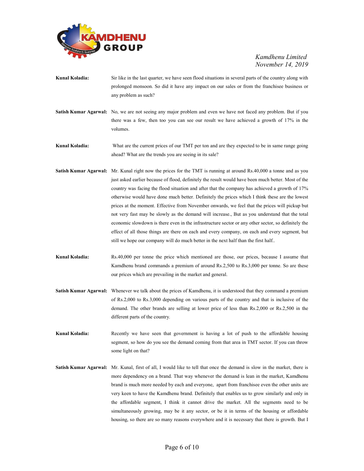

- Kunal Koladia: Sir like in the last quarter, we have seen flood situations in several parts of the country along with prolonged monsoon. So did it have any impact on our sales or from the franchisee business or any problem as such?
- Satish Kumar Agarwal: No, we are not seeing any major problem and even we have not faced any problem. But if you there was a few, then too you can see our result we have achieved a growth of 17% in the volumes.

Kunal Koladia: What are the current prices of our TMT per ton and are they expected to be in same range going ahead? What are the trends you are seeing in its sale?

- Satish Kumar Agarwal: Mr. Kunal right now the prices for the TMT is running at around Rs.40,000 a tonne and as you just asked earlier because of flood, definitely the result would have been much better. Most of the country was facing the flood situation and after that the company has achieved a growth of 17% otherwise would have done much better. Definitely the prices which I think these are the lowest prices at the moment. Effective from November onwards, we feel that the prices will pickup but not very fast may be slowly as the demand will increase., But as you understand that the total economic slowdown is there even in the infrastructure sector or any other sector, so definitely the effect of all those things are there on each and every company, on each and every segment, but still we hope our company will do much better in the next half than the first half..
- Kunal Koladia: Rs.40,000 per tonne the price which mentioned are those, our prices, because I assume that Kamdhenu brand commands a premium of around Rs.2,500 to Rs.3,000 per tonne. So are these our prices which are prevailing in the market and general.
- Satish Kumar Agarwal: Whenever we talk about the prices of Kamdhenu, it is understood that they command a premium of Rs.2,000 to Rs.3,000 depending on various parts of the country and that is inclusive of the demand. The other brands are selling at lower price of less than Rs.2,000 or Rs.2,500 in the different parts of the country.
- Kunal Koladia: Recently we have seen that government is having a lot of push to the affordable housing segment, so how do you see the demand coming from that area in TMT sector. If you can throw some light on that?
- Satish Kumar Agarwal: Mr. Kunal, first of all, I would like to tell that once the demand is slow in the market, there is more dependency on a brand. That way whenever the demand is lean in the market, Kamdhenu brand is much more needed by each and everyone, apart from franchisee even the other units are very keen to have the Kamdhenu brand. Definitely that enables us to grow similarly and only in the affordable segment, I think it cannot drive the market. All the segments need to be simultaneously growing, may be it any sector, or be it in terms of the housing or affordable housing, so there are so many reasons everywhere and it is necessary that there is growth. But I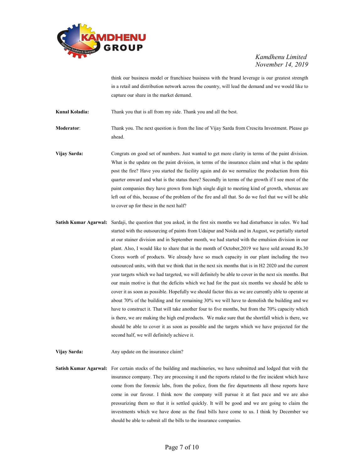

think our business model or franchisee business with the brand leverage is our greatest strength in a retail and distribution network across the country, will lead the demand and we would like to capture our share in the market demand.

Kunal Koladia: Thank you that is all from my side. Thank you and all the best.

Moderator: Thank you. The next question is from the line of Vijay Sarda from Crescita Investment. Please go ahead.

- Vijay Sarda: Congrats on good set of numbers. Just wanted to get more clarity in terms of the paint division. What is the update on the paint division, in terms of the insurance claim and what is the update post the fire? Have you started the facility again and do we normalize the production from this quarter onward and what is the status there? Secondly in terms of the growth if I see most of the paint companies they have grown from high single digit to meeting kind of growth, whereas are left out of this, because of the problem of the fire and all that. So do we feel that we will be able to cover up for these in the next half?
- Satish Kumar Agarwal: Sardaji, the question that you asked, in the first six months we had disturbance in sales. We had started with the outsourcing of paints from Udaipur and Noida and in August, we partially started at our stainer division and in September month, we had started with the emulsion division in our plant. Also, I would like to share that in the month of October,2019 we have sold around Rs.30 Crores worth of products. We already have so much capacity in our plant including the two outsourced units, with that we think that in the next six months that is in H2 2020 and the current year targets which we had targeted, we will definitely be able to cover in the next six months. But our main motive is that the deficits which we had for the past six months we should be able to cover it as soon as possible. Hopefully we should factor this as we are currently able to operate at about 70% of the building and for remaining 30% we will have to demolish the building and we have to construct it. That will take another four to five months, but from the 70% capacity which is there, we are making the high end products. We make sure that the shortfall which is there, we should be able to cover it as soon as possible and the targets which we have projected for the second half, we will definitely achieve it.
- Vijay Sarda: Any update on the insurance claim?

Satish Kumar Agarwal: For certain stocks of the building and machineries, we have submitted and lodged that with the insurance company. They are processing it and the reports related to the fire incident which have come from the forensic labs, from the police, from the fire departments all those reports have come in our favour. I think now the company will pursue it at fast pace and we are also pressurizing them so that it is settled quickly. It will be good and we are going to claim the investments which we have done as the final bills have come to us. I think by December we should be able to submit all the bills to the insurance companies.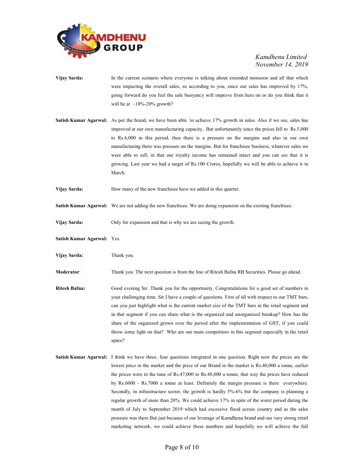

- Vijay Sarda: In the current scenario where everyone is talking about extended monsoon and all that which were impacting the overall sales, so according to you, since our sales has improved by 17%, going forward do you feel the sale buoyancy will improve from here on or do you think that it will be at  $~18\%$ -20% growth?
- Satish Kumar Agarwal: As per the brand, we have been able to achieve 17% growth in sales. Also if we see, sales has improved at our own manufacturing capacity.. But unfortunately since the prices fell to Rs.5,000 to Rs.6,000 in this period, then there is a pressure on the margins and also in our own manufacturing there was pressure on the margins. But for franchisee business, whatever sales we were able to sell, in that our royalty income has remained intact and you can see that it is growing. Last year we had a target of Rs.100 Crores, hopefully we will be able to achieve it in March.
- Vijay Sarda: How many of the new franchisee have we added in this quarter.
- Satish Kumar Agarwal: We are not adding the new franchisee. We are doing expansion on the existing franchisee.
- Vijay Sarda: Only for expansion and that is why we are seeing the growth.
- Satish Kumar Agarwal: Yes.
- Vijay Sarda: Thank you.

Moderator: Thank you. The next question is from the line of Ritesh Bafna RB Securities. Please go ahead.

- Ritesh Bafna: Good evening Sir. Thank you for the opportunity. Congratulations for a good set of numbers in your challenging time. Sir I have a couple of questions. First of all with respect to our TMT bars, can you just highlight what is the current market size of the TMT bars in the retail segment and in that segment if you can share what is the organized and unorganized breakup? How has the share of the organized grown over the period after the implementation of GST, if you could throw some light on that? Who are our main competitors in this segment especially in the retail space?
- Satish Kumar Agarwal: I think we have three, four questions integrated in one question. Right now the prices are the lowest price in the market and the price of our Brand in the market is Rs.40,000 a tonne, earlier the prices were to the tune of Rs.47,000 to Rs.48,000 a tonne, that way the prices have reduced by Rs.6000 - Rs.7000 a tonne at least. Definitely the margin pressure is there everywhere. Secondly, in infrastructure sector, the growth is hardly 5%-6% but the company is planning a regular growth of more than 20%. We could achieve 17% in spite of the worst period during the month of July to September 2019 which had excessive flood across country and as the sales pressure was there But just because of our leverage of Kamdhenu brand and our very strong retail marketing network, we could achieve these numbers and hopefully we will achieve the full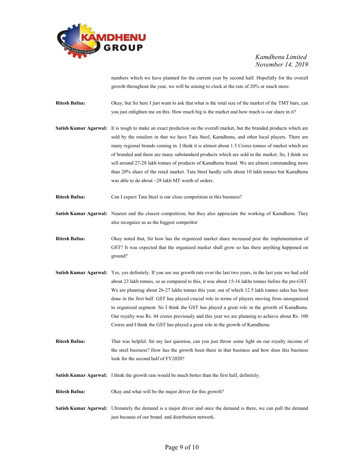

numbers which we have planned for the current year by second half. Hopefully for the overall growth throughout the year, we will be aiming to clock at the rate of 20% or much more.

Ritesh Bafna: Okay, but Sir here I just want to ask that what is the total size of the market of the TMT bars, can you just enlighten me on this. How much big is the market and how much is our share in it?

Satish Kumar Agarwal: It is tough to make an exact prediction on the overall market, but the branded products which are sold by the retailers in that we have Tata Steel, Kamdhenu, and other local players. There are many regional brands coming in. I think it is almost about 1.5 Crores tonnes of market which are of branded and there are many substandard products which are sold in the market. So, I think we sell around 27-28 lakh tonnes of products of Kamdhenu brand. We are almost commanding more than 20% share of the retail market. Tata Steel hardly sells about 10 lakh tonnes but Kamdhenu was able to do about ~28 lakh MT worth of orders.

- Ritesh Bafna: Can I expect Tata Steel is our close competition in this business?
- Satish Kumar Agarwal: Nearest and the closest competition, but they also appreciate the working of Kamdhenu. They also recognize us as the biggest competitor
- Ritesh Bafna: Okay noted that, Sir how has the organized market share increased post the implementation of GST? It was expected that the organized market shall grow so has there anything happened on ground?
- Satish Kumar Agarwal: Yes, yes definitely. If you see our growth rate over the last two years, in the last year we had sold about 23 lakh tonnes, so as compared to this, it was about 15-16 lakhs tonnes before the pre-GST. We are planning about 26-27 lakhs tonnes this year, out of which 12.5 lakh tonnes sales has been done in the first half. GST has played crucial role in terms of players moving from unorganized to organized segment. So I think the GST has played a great role in the growth of Kamdhenu. Our royalty was Rs. 84 crores previously and this year we are planning to achieve about Rs. 100 Crores and I think the GST has played a great role in the growth of Kamdhenu.

Ritesh Bafna: That was helpful. Sir my last question, can you just throw some light on our royalty income of the steel business? How has the growth been there in that business and how does this business look for the second half of FY2020?

- Satish Kumar Agarwal: I think the growth rate would be much better than the first half, definitely.
- Ritesh Bafna: Okay and what will be the major driver for this growth?
- Satish Kumar Agarwal: Ultimately the demand is a major driver and once the demand is there, we can pull the demand just because of our brand and distribution network.